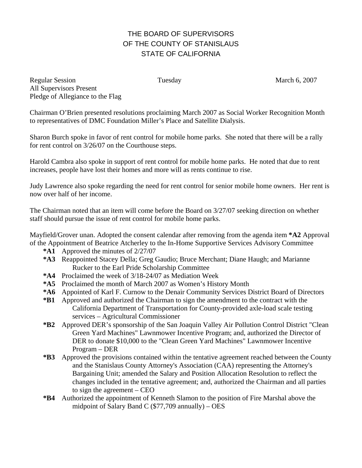# THE BOARD OF SUPERVISORS OF THE COUNTY OF STANISLAUS STATE OF CALIFORNIA

Regular Session Tuesday Tuesday March 6, 2007 All Supervisors Present Pledge of Allegiance to the Flag

Chairman O'Brien presented resolutions proclaiming March 2007 as Social Worker Recognition Month to representatives of DMC Foundation Miller's Place and Satellite Dialysis.

Sharon Burch spoke in favor of rent control for mobile home parks. She noted that there will be a rally for rent control on 3/26/07 on the Courthouse steps.

Harold Cambra also spoke in support of rent control for mobile home parks. He noted that due to rent increases, people have lost their homes and more will as rents continue to rise.

Judy Lawrence also spoke regarding the need for rent control for senior mobile home owners. Her rent is now over half of her income.

The Chairman noted that an item will come before the Board on 3/27/07 seeking direction on whether staff should pursue the issue of rent control for mobile home parks.

Mayfield/Grover unan. Adopted the consent calendar after removing from the agenda item **\*A2** Approval of the Appointment of Beatrice Atcherley to the In-Home Supportive Services Advisory Committee

- **\*A1** Approved the minutes of 2/27/07
- **\*A3** Reappointed Stacey Della; Greg Gaudio; Bruce Merchant; Diane Haugh; and Marianne Rucker to the Earl Pride Scholarship Committee
- **\*A4** Proclaimed the week of 3/18-24/07 as Mediation Week
- **\*A5** Proclaimed the month of March 2007 as Women's History Month
- **\*A6** Appointed of Karl F. Curnow to the Denair Community Services District Board of Directors
- **\*B1** Approved and authorized the Chairman to sign the amendment to the contract with the California Department of Transportation for County-provided axle-load scale testing services – Agricultural Commissioner
- **\*B2** Approved DER's sponsorship of the San Joaquin Valley Air Pollution Control District "Clean Green Yard Machines" Lawnmower Incentive Program; and, authorized the Director of DER to donate \$10,000 to the "Clean Green Yard Machines" Lawnmower Incentive Program – DER
- **\*B3** Approved the provisions contained within the tentative agreement reached between the County and the Stanislaus County Attorney's Association (CAA) representing the Attorney's Bargaining Unit; amended the Salary and Position Allocation Resolution to reflect the changes included in the tentative agreement; and, authorized the Chairman and all parties to sign the agreement – CEO
- **\*B4** Authorized the appointment of Kenneth Slamon to the position of Fire Marshal above the midpoint of Salary Band C  $(\$77,709$  annually) – OES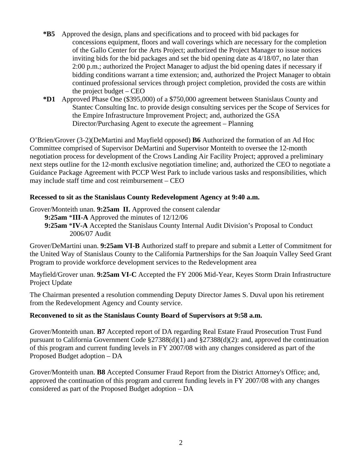- **\*B5** Approved the design, plans and specifications and to proceed with bid packages for concessions equipment, floors and wall coverings which are necessary for the completion of the Gallo Center for the Arts Project; authorized the Project Manager to issue notices inviting bids for the bid packages and set the bid opening date as 4/18/07, no later than 2:00 p.m.; authorized the Project Manager to adjust the bid opening dates if necessary if bidding conditions warrant a time extension; and, authorized the Project Manager to obtain continued professional services through project completion, provided the costs are within the project budget – CEO
- **\*D1** Approved Phase One (\$395,000) of a \$750,000 agreement between Stanislaus County and Stantec Consulting Inc. to provide design consulting services per the Scope of Services for the Empire Infrastructure Improvement Project; and, authorized the GSA Director/Purchasing Agent to execute the agreement – Planning

O'Brien/Grover (3-2)(DeMartini and Mayfield opposed) **B6** Authorized the formation of an Ad Hoc Committee comprised of Supervisor DeMartini and Supervisor Monteith to oversee the 12-month negotiation process for development of the Crows Landing Air Facility Project; approved a preliminary next steps outline for the 12-month exclusive negotiation timeline; and, authorized the CEO to negotiate a Guidance Package Agreement with PCCP West Park to include various tasks and responsibilities, which may include staff time and cost reimbursement – CEO

#### **Recessed to sit as the Stanislaus County Redevelopment Agency at 9:40 a.m.**

Grover/Monteith unan. **9:25am II.** Approved the consent calendar

- **9:25am** \***III-A** Approved the minutes of 12/12/06
- **9:25am** \***IV-A** Accepted the Stanislaus County Internal Audit Division's Proposal to Conduct 2006/07 Audit

Grover/DeMartini unan. **9:25am VI-B** Authorized staff to prepare and submit a Letter of Commitment for the United Way of Stanislaus County to the California Partnerships for the San Joaquin Valley Seed Grant Program to provide workforce development services to the Redevelopment area

Mayfield/Grover unan. **9:25am VI-C** Accepted the FY 2006 Mid-Year, Keyes Storm Drain Infrastructure Project Update

The Chairman presented a resolution commending Deputy Director James S. Duval upon his retirement from the Redevelopment Agency and County service.

## **Reconvened to sit as the Stanislaus County Board of Supervisors at 9:58 a.m.**

Grover/Monteith unan. **B7** Accepted report of DA regarding Real Estate Fraud Prosecution Trust Fund pursuant to California Government Code §27388(d)(1) and §27388(d)(2): and, approved the continuation of this program and current funding levels in FY 2007/08 with any changes considered as part of the Proposed Budget adoption – DA

Grover/Monteith unan. **B8** Accepted Consumer Fraud Report from the District Attorney's Office; and, approved the continuation of this program and current funding levels in FY 2007/08 with any changes considered as part of the Proposed Budget adoption – DA